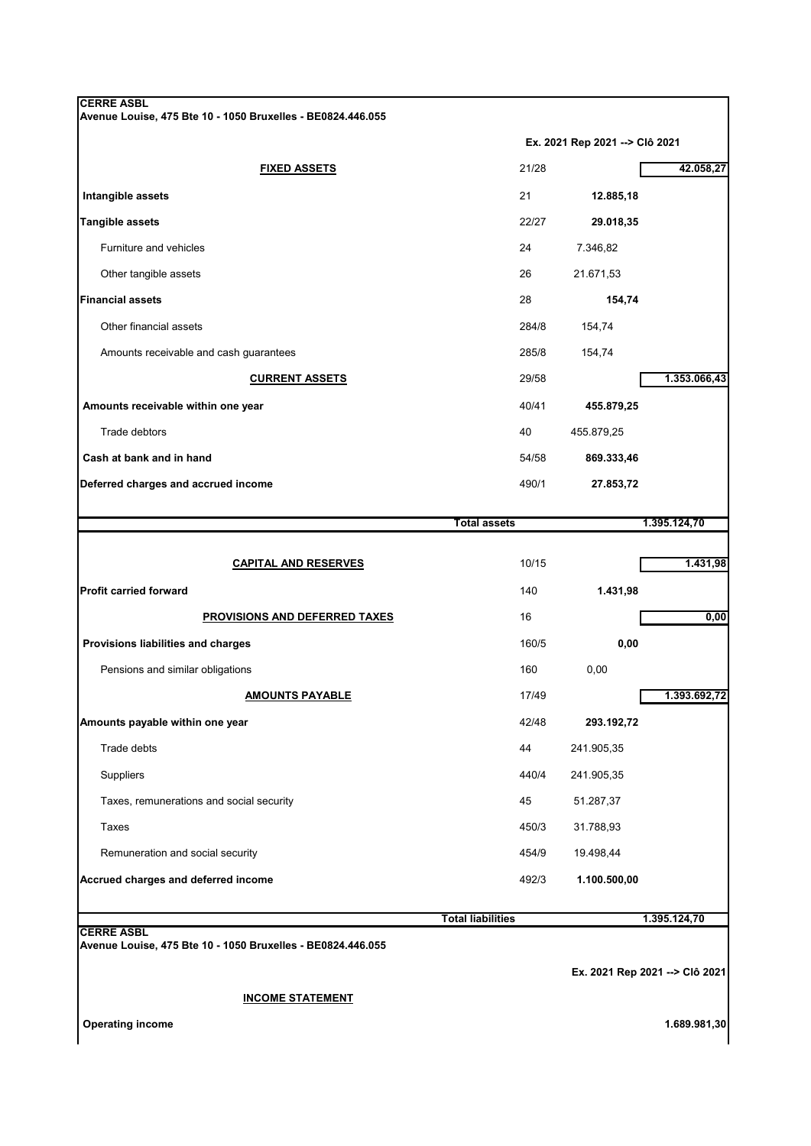|                                                             | Ex. 2021 Rep 2021 --> Clô 2021 |                                |              |
|-------------------------------------------------------------|--------------------------------|--------------------------------|--------------|
| <b>FIXED ASSETS</b>                                         | 21/28                          |                                | 42.058,27    |
| Intangible assets                                           | 21                             | 12.885,18                      |              |
| <b>Tangible assets</b>                                      | 22/27                          | 29.018,35                      |              |
| Furniture and vehicles                                      | 24                             | 7.346,82                       |              |
| Other tangible assets                                       | 26                             | 21.671,53                      |              |
| <b>Financial assets</b>                                     | 28                             | 154,74                         |              |
| Other financial assets                                      | 284/8                          | 154,74                         |              |
| Amounts receivable and cash guarantees                      | 285/8                          | 154,74                         |              |
| <b>CURRENT ASSETS</b>                                       | 29/58                          |                                | 1.353.066,43 |
| Amounts receivable within one year                          | 40/41                          | 455.879,25                     |              |
| Trade debtors                                               | 40                             | 455.879,25                     |              |
| Cash at bank and in hand                                    | 54/58                          | 869.333,46                     |              |
| Deferred charges and accrued income                         | 490/1                          | 27.853,72                      |              |
|                                                             |                                |                                |              |
|                                                             | <b>Total assets</b>            |                                | 1.395.124,70 |
| <b>CAPITAL AND RESERVES</b>                                 | 10/15                          |                                | 1.431,98     |
| <b>Profit carried forward</b>                               | 140                            | 1.431,98                       |              |
| PROVISIONS AND DEFERRED TAXES                               | 16                             |                                | 0,00         |
| Provisions liabilities and charges                          | 160/5                          | 0,00                           |              |
| Pensions and similar obligations                            | 160                            | 0,00                           |              |
| <b>AMOUNTS PAYABLE</b>                                      | 17/49                          |                                | 1.393.692,72 |
| Amounts payable within one year                             | 42/48                          | 293.192,72                     |              |
| Trade debts                                                 | 44                             | 241.905,35                     |              |
| <b>Suppliers</b>                                            | 440/4                          | 241.905,35                     |              |
| Taxes, remunerations and social security                    | 45                             | 51.287,37                      |              |
| Taxes                                                       | 450/3                          | 31.788,93                      |              |
| Remuneration and social security                            | 454/9                          | 19.498,44                      |              |
| Accrued charges and deferred income                         | 492/3                          | 1.100.500,00                   |              |
|                                                             | <b>Total liabilities</b>       |                                | 1.395.124,70 |
| <b>CERRE ASBL</b>                                           |                                |                                |              |
| Avenue Louise, 475 Bte 10 - 1050 Bruxelles - BE0824.446.055 |                                | Ex. 2021 Rep 2021 --> Clô 2021 |              |
|                                                             |                                |                                |              |
| <b>INCOME STATEMENT</b>                                     |                                |                                |              |

 **Operating income 1.689.981,30**